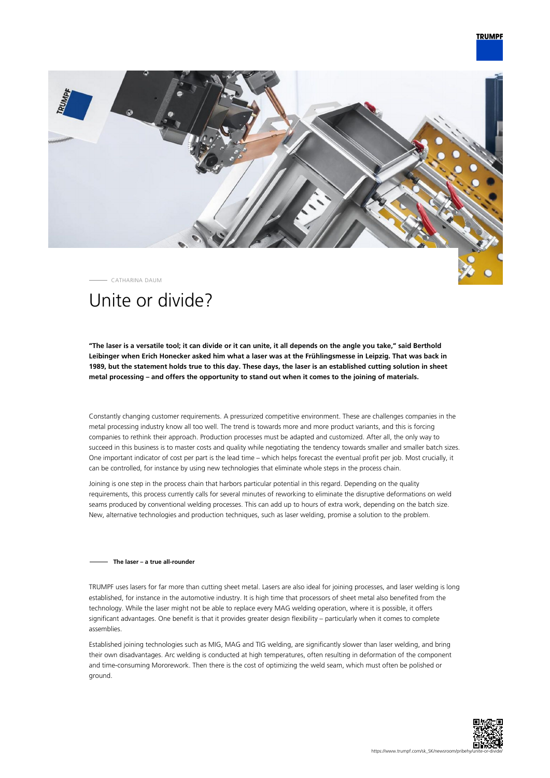## **TRUMPF**



CATHARINA DAUM

# Unite or divide?

**"The laser is a versatile tool; it can divide or it can unite, it all depends on the angle you take," said Berthold Leibinger when Erich Honecker asked him what a laser was at the Frühlingsmesse in Leipzig. That was back in 1989, but the statement holds true to this day. These days, the laser is an established cutting solution in sheet metal processing – and offers the opportunity to stand out when it comes to the joining of materials.**

Constantly changing customer requirements. A pressurized competitive environment. These are challenges companies in the metal processing industry know all too well. The trend is towards more and more product variants, and this is forcing companies to rethink their approach. Production processes must be adapted and customized. After all, the only way to succeed in this business is to master costs and quality while negotiating the tendency towards smaller and smaller batch sizes. One important indicator of cost per part is the lead time – which helps forecast the eventual profit per job. Most crucially, it can be controlled, for instance by using new technologies that eliminate whole steps in the process chain.

Joining is one step in the process chain that harbors particular potential in this regard. Depending on the quality requirements, this process currently calls for several minutes of reworking to eliminate the disruptive deformations on weld seams produced by conventional welding processes. This can add up to hours of extra work, depending on the batch size. New, alternative technologies and production techniques, such as laser welding, promise a solution to the problem.

### **The laser – a true all-rounder**

TRUMPF uses lasers for far more than cutting sheet metal. Lasers are also ideal for joining processes, and laser welding is long established, for instance in the automotive industry. It is high time that processors of sheet metal also benefited from the technology. While the laser might not be able to replace every MAG welding operation, where it is possible, it offers significant advantages. One benefit is that it provides greater design flexibility – particularly when it comes to complete assemblies.

Established joining technologies such as MIG, MAG and TIG welding, are significantly slower than laser welding, and bring their own disadvantages. Arc welding is conducted at high temperatures, often resulting in deformation of the component and time-consuming Mororework. Then there is the cost of optimizing the weld seam, which must often be polished or ground.

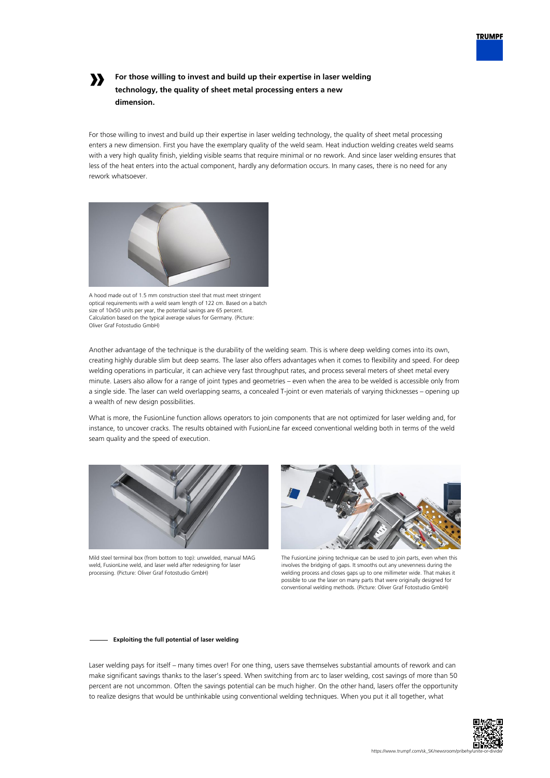

## **»**

## **For those willing to invest and build up their expertise in laser welding technology, the quality of sheet metal processing enters a new dimension.**

For those willing to invest and build up their expertise in laser welding technology, the quality of sheet metal processing enters a new dimension. First you have the exemplary quality of the weld seam. Heat induction welding creates weld seams with a very high quality finish, yielding visible seams that require minimal or no rework. And since laser welding ensures that less of the heat enters into the actual component, hardly any deformation occurs. In many cases, there is no need for any rework whatsoever.



A hood made out of 1.5 mm construction steel that must meet stringent optical requirements with a weld seam length of 122 cm. Based on a batch size of 10x50 units per year, the potential savings are 65 percent. Calculation based on the typical average values for Germany. (Picture: Oliver Graf Fotostudio GmbH)

Another advantage of the technique is the durability of the welding seam. This is where deep welding comes into its own, creating highly durable slim but deep seams. The laser also offers advantages when it comes to flexibility and speed. For deep welding operations in particular, it can achieve very fast throughput rates, and process several meters of sheet metal every minute. Lasers also allow for a range of joint types and geometries – even when the area to be welded is accessible only from a single side. The laser can weld overlapping seams, a concealed T-joint or even materials of varying thicknesses – opening up a wealth of new design possibilities.

What is more, the FusionLine function allows operators to join components that are not optimized for laser welding and, for instance, to uncover cracks. The results obtained with FusionLine far exceed conventional welding both in terms of the weld seam quality and the speed of execution.



Mild steel terminal box (from bottom to top): unwelded, manual MAG weld, FusionLine weld, and laser weld after redesigning for laser processing. (Picture: Oliver Graf Fotostudio GmbH)



The FusionLine joining technique can be used to join parts, even when this involves the bridging of gaps. It smooths out any unevenness during the welding process and closes gaps up to one millimeter wide. That makes it possible to use the laser on many parts that were originally designed for conventional welding methods. (Picture: Oliver Graf Fotostudio GmbH)

### **Exploiting the full potential of laser welding**

Laser welding pays for itself – many times over! For one thing, users save themselves substantial amounts of rework and can make significant savings thanks to the laser's speed. When switching from arc to laser welding, cost savings of more than 50 percent are not uncommon. Often the savings potential can be much higher. On the other hand, lasers offer the opportunity to realize designs that would be unthinkable using conventional welding techniques. When you put it all together, what